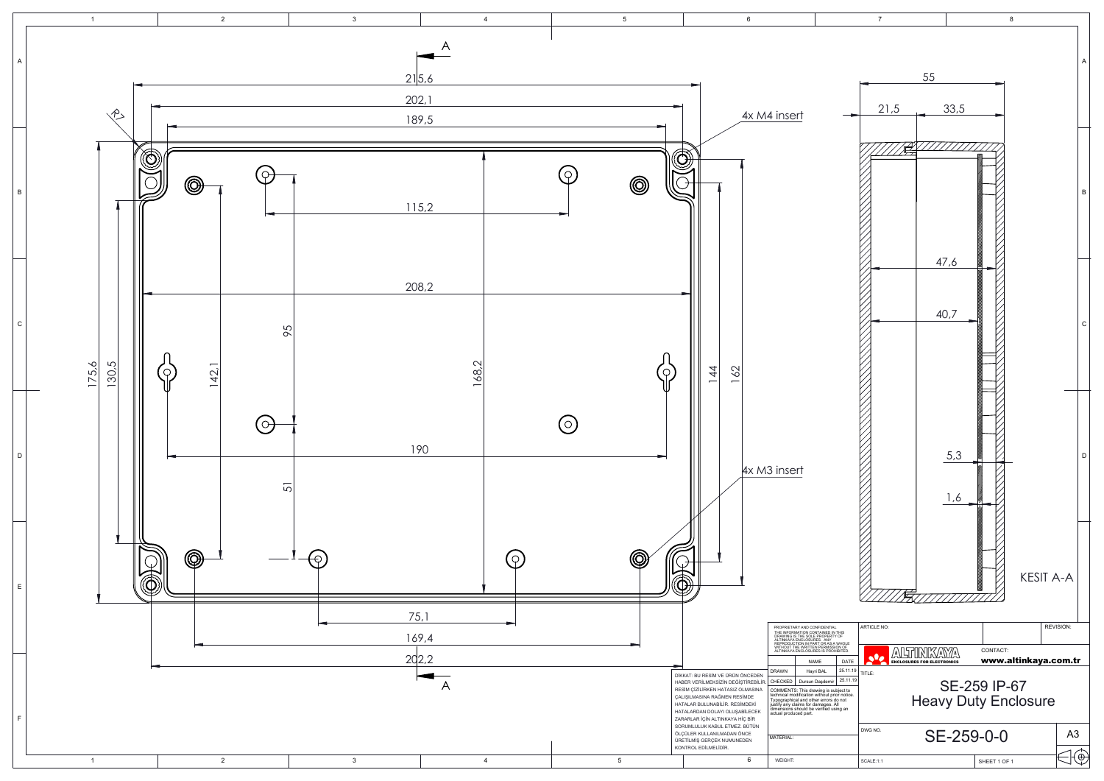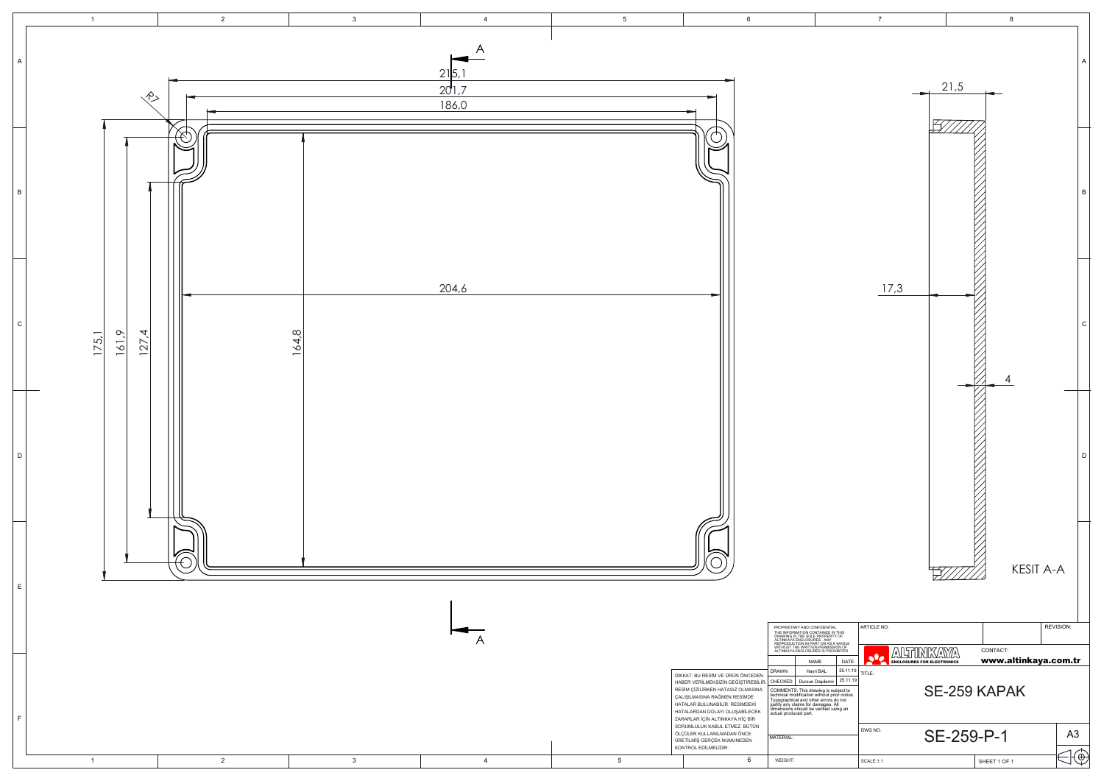

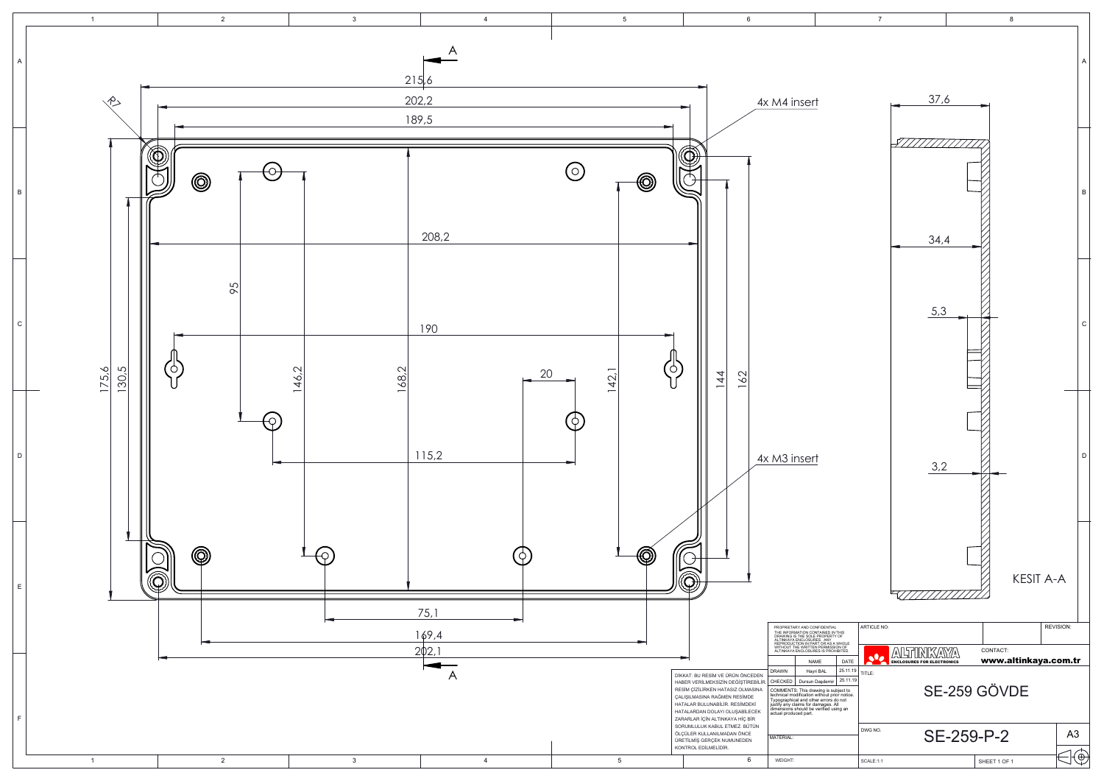